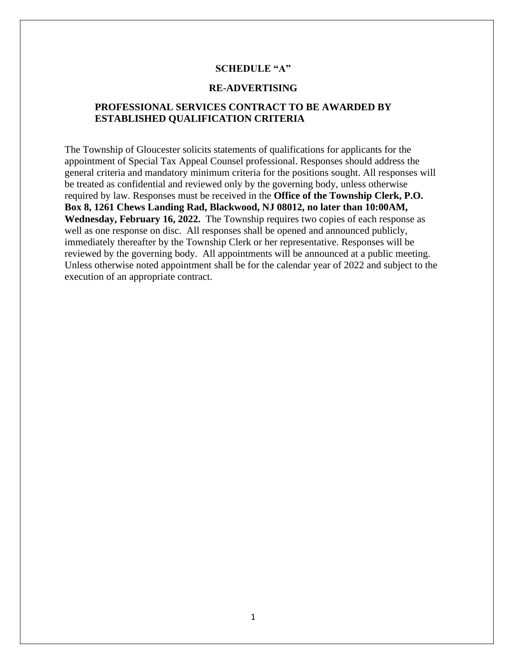# **SCHEDULE "A"**

## **RE-ADVERTISING**

# **PROFESSIONAL SERVICES CONTRACT TO BE AWARDED BY ESTABLISHED QUALIFICATION CRITERIA**

The Township of Gloucester solicits statements of qualifications for applicants for the appointment of Special Tax Appeal Counsel professional. Responses should address the general criteria and mandatory minimum criteria for the positions sought. All responses will be treated as confidential and reviewed only by the governing body, unless otherwise required by law. Responses must be received in the **Office of the Township Clerk, P.O. Box 8, 1261 Chews Landing Rad, Blackwood, NJ 08012, no later than 10:00AM, Wednesday, February 16, 2022.** The Township requires two copies of each response as well as one response on disc. All responses shall be opened and announced publicly, immediately thereafter by the Township Clerk or her representative. Responses will be reviewed by the governing body. All appointments will be announced at a public meeting. Unless otherwise noted appointment shall be for the calendar year of 2022 and subject to the execution of an appropriate contract.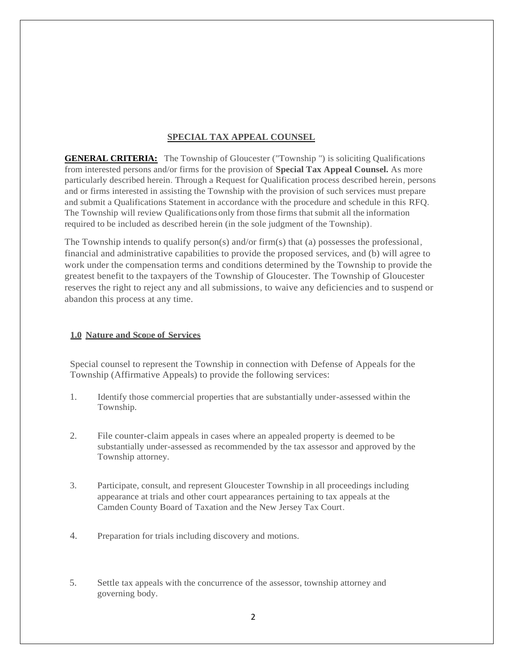### **SPECIAL TAX APPEAL COUNSEL**

**GENERAL CRITERIA:** The Township of Gloucester ("Township ") is soliciting Qualifications from interested persons and/or firms for the provision of **Special Tax Appeal Counsel.** As more particularly described herein. Through a Request for Qualification process described herein, persons and or firms interested in assisting the Township with the provision of such services must prepare and submit a Qualifications Statement in accordance with the procedure and schedule in this RFQ. The Township will review Qualifications only from those firms that submit all the information required to be included as described herein (in the sole judgment of the Township).

The Township intends to qualify person(s) and/or firm(s) that (a) possesses the professional, financial and administrative capabilities to provide the proposed services, and (b) will agree to work under the compensation terms and conditions determined by the Township to provide the greatest benefit to the taxpayers of the Township of Gloucester. The Township of Gloucester reserves the right to reject any and all submissions, to waive any deficiencies and to suspend or abandon this process at any time.

## **1.0 Nature and Scope of Services**

Special counsel to represent the Township in connection with Defense of Appeals for the Township (Affirmative Appeals) to provide the following services:

- 1. Identify those commercial properties that are substantially under-assessed within the Township.
- 2. File counter-claim appeals in cases where an appealed property is deemed to be substantially under-assessed as recommended by the tax assessor and approved by the Township attorney.
- 3. Participate, consult, and represent Gloucester Township in all proceedings including appearance at trials and other court appearances pertaining to tax appeals at the Camden County Board of Taxation and the New Jersey Tax Court.
- 4. Preparation for trials including discovery and motions.
- 5. Settle tax appeals with the concurrence of the assessor, township attorney and governing body.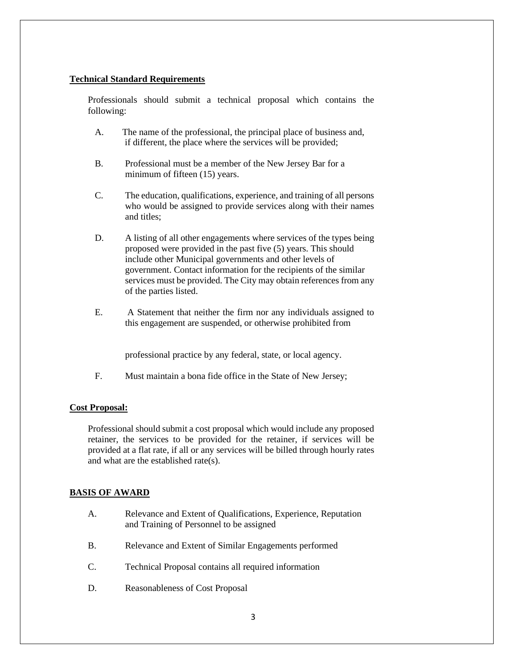### **Technical Standard Requirements**

Professionals should submit a technical proposal which contains the following:

- A. The name of the professional, the principal place of business and, if different, the place where the services will be provided;
- B. Professional must be a member of the New Jersey Bar for a minimum of fifteen (15) years.
- C. The education, qualifications, experience, and training of all persons who would be assigned to provide services along with their names and titles;
- D. A listing of all other engagements where services of the types being proposed were provided in the past five (5) years. This should include other Municipal governments and other levels of government. Contact information for the recipients of the similar services must be provided. The City may obtain references from any of the parties listed.
- E. A Statement that neither the firm nor any individuals assigned to this engagement are suspended, or otherwise prohibited from

professional practice by any federal, state, or local agency.

F. Must maintain a bona fide office in the State of New Jersey;

#### **Cost Proposal:**

Professional should submit a cost proposal which would include any proposed retainer, the services to be provided for the retainer, if services will be provided at a flat rate, if all or any services will be billed through hourly rates and what are the established rate(s).

#### **BASIS OF AWARD**

- A. Relevance and Extent of Qualifications, Experience, Reputation and Training of Personnel to be assigned
- B. Relevance and Extent of Similar Engagements performed
- C. Technical Proposal contains all required information
- D. Reasonableness of Cost Proposal